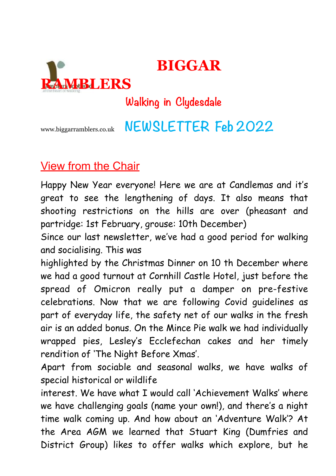

# **Walking in Clydesdale**

 **BIGGAR** 

# www.biggarramblers.co.uk **NEWSLETTER Feb 2022**

## View from the Chair

Happy New Year everyone! Here we are at Candlemas and it's great to see the lengthening of days. It also means that shooting restrictions on the hills are over (pheasant and partridge: 1st February, grouse: 10th December)

Since our last newsletter, we've had a good period for walking and socialising. This was

highlighted by the Christmas Dinner on 10 th December where we had a good turnout at Cornhill Castle Hotel, just before the spread of Omicron really put a damper on pre-festive celebrations. Now that we are following Covid guidelines as part of everyday life, the safety net of our walks in the fresh air is an added bonus. On the Mince Pie walk we had individually wrapped pies, Lesley's Ecclefechan cakes and her timely rendition of 'The Night Before Xmas'.

Apart from sociable and seasonal walks, we have walks of special historical or wildlife

interest. We have what I would call 'Achievement Walks' where we have challenging goals (name your own!), and there's a night time walk coming up. And how about an 'Adventure Walk'? At the Area AGM we learned that Stuart King (Dumfries and District Group) likes to offer walks which explore, but he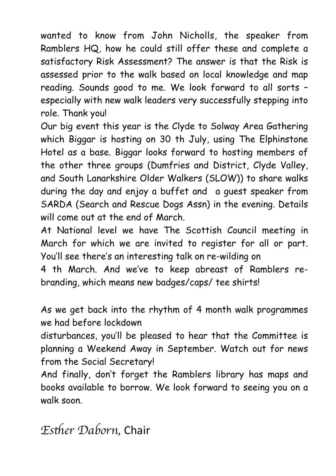wanted to know from John Nicholls, the speaker from Ramblers HQ, how he could still offer these and complete a satisfactory Risk Assessment? The answer is that the Risk is assessed prior to the walk based on local knowledge and map reading. Sounds good to me. We look forward to all sorts – especially with new walk leaders very successfully stepping into role. Thank you!

Our big event this year is the Clyde to Solway Area Gathering which Biggar is hosting on 30 th July, using The Elphinstone Hotel as a base. Biggar looks forward to hosting members of the other three groups (Dumfries and District, Clyde Valley, and South Lanarkshire Older Walkers (SLOW)) to share walks during the day and enjoy a buffet and a guest speaker from SARDA (Search and Rescue Dogs Assn) in the evening. Details will come out at the end of March.

At National level we have The Scottish Council meeting in March for which we are invited to register for all or part. You'll see there's an interesting talk on re-wilding on

4 th March. And we've to keep abreast of Ramblers rebranding, which means new badges/caps/ tee shirts!

As we get back into the rhythm of 4 month walk programmes we had before lockdown

disturbances, you'll be pleased to hear that the Committee is planning a Weekend Away in September. Watch out for news from the Social Secretary!

And finally, don't forget the Ramblers library has maps and books available to borrow. We look forward to seeing you on a walk soon.

*Es*th*er Daborn,* Chair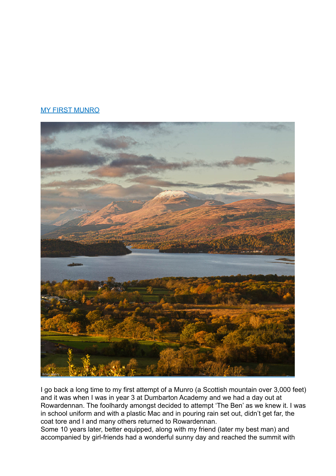#### MY FIRST MUNRO



I go back a long time to my first attempt of a Munro (a Scottish mountain over 3,000 feet) and it was when I was in year 3 at Dumbarton Academy and we had a day out at Rowardennan. The foolhardy amongst decided to attempt 'The Ben' as we knew it. I was in school uniform and with a plastic Mac and in pouring rain set out, didn't get far, the coat tore and I and many others returned to Rowardennan.

Some 10 years later, better equipped, along with my friend (later my best man) and accompanied by girl-friends had a wonderful sunny day and reached the summit with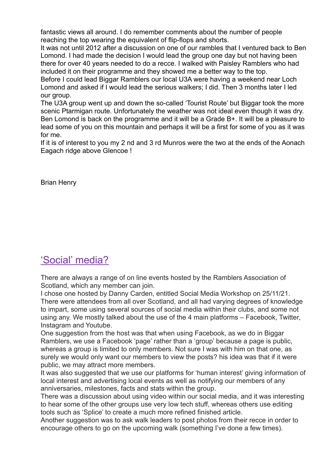fantastic views all around. I do remember comments about the number of people reaching the top wearing the equivalent of flip-flops and shorts.

It was not until 2012 after a discussion on one of our rambles that I ventured back to Ben Lomond. I had made the decision I would lead the group one day but not having been there for over 40 years needed to do a recce. I walked with Paisley Ramblers who had included it on their programme and they showed me a better way to the top.

Before I could lead Biggar Ramblers our local U3A were having a weekend near Loch Lomond and asked if I would lead the serious walkers; I did. Then 3 months later I led our group.

The U3A group went up and down the so-called 'Tourist Route' but Biggar took the more scenic Ptarmigan route. Unfortunately the weather was not ideal even though it was dry. Ben Lomond is back on the programme and it will be a Grade B+. It will be a pleasure to lead some of you on this mountain and perhaps it will be a first for some of you as it was for me.

If it is of interest to you my 2 nd and 3 rd Munros were the two at the ends of the Aonach Eagach ridge above Glencoe !

Brian Henry

### 'Social' media?

There are always a range of on line events hosted by the Ramblers Association of Scotland, which any member can join.

I chose one hosted by Danny Carden, entitled Social Media Workshop on 25/11/21. There were attendees from all over Scotland, and all had varying degrees of knowledge to impart, some using several sources of social media within their clubs, and some not using any. We mostly talked about the use of the 4 main platforms – Facebook, Twitter, Instagram and Youtube.

One suggestion from the host was that when using Facebook, as we do in Biggar Ramblers, we use a Facebook 'page' rather than a 'group' because a page is public, whereas a group is limited to only members. Not sure I was with him on that one, as surely we would only want our members to view the posts? his idea was that if it were public, we may attract more members.

It was also suggested that we use our platforms for 'human interest' giving information of local interest and advertising local events as well as notifying our members of any anniversaries, milestones, facts and stats within the group.

There was a discussion about using video within our social media, and it was interesting to hear some of the other groups use very low tech stuff, whereas others use editing tools such as 'Splice' to create a much more refined finished article.

Another suggestion was to ask walk leaders to post photos from their recce in order to encourage others to go on the upcoming walk (something I've done a few times).